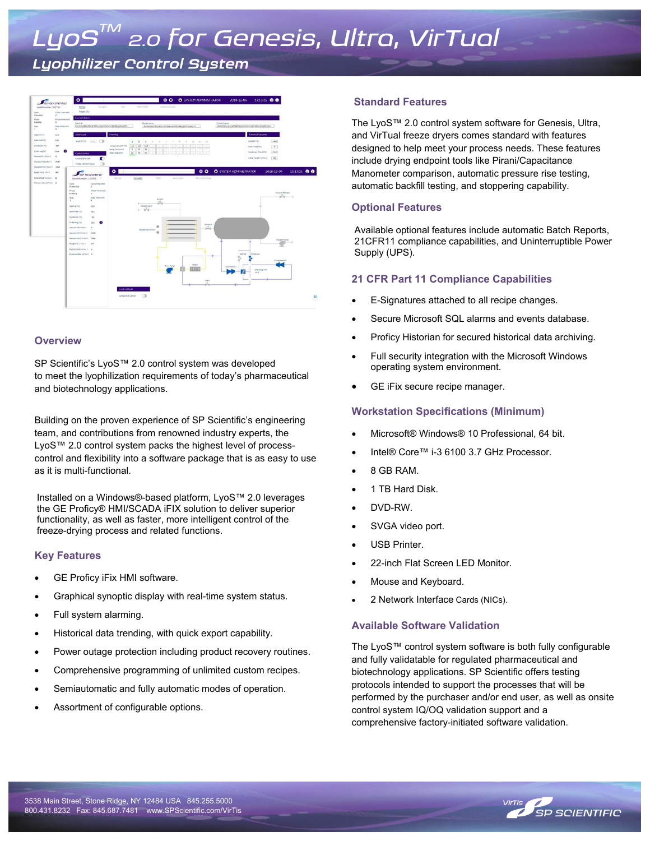# *LyoSTM 2.0 for Genesis, Ultra, VirTual*

### *Lyophilizer Control System*



#### **Overview**

SP Scientific's LyoS™ 2.0 control system was developed to meet the lyophilization requirements of today's pharmaceutical and biotechnology applications.

Building on the proven experience of SP Scientific's engineering team, and contributions from renowned industry experts, the LyoS™ 2.0 control system packs the highest level of processcontrol and flexibility into a software package that is as easy to use as it is multi-functional.

Installed on a Windows®-based platform, LyoS™ 2.0 leverages the GE Proficy® HMI/SCADA iFIX solution to deliver superior functionality, as well as faster, more intelligent control of the freeze-drying process and related functions.

#### **Key Features**

- GE Proficy iFix HMI software.
- Graphical synoptic display with real-time system status.
- Full system alarming.
- Historical data trending, with quick export capability.
- Power outage protection including product recovery routines.
- Comprehensive programming of unlimited custom recipes.
- Semiautomatic and fully automatic modes of operation.
- Assortment of configurable options.

The LyoS™ 2.0 control system software for Genesis, Ultra, and VirTual freeze dryers comes standard with features designed to help meet your process needs. These features include drying endpoint tools like Pirani/Capacitance Manometer comparison, automatic pressure rise testing, automatic backfill testing, and stoppering capability.

#### **Optional Features**

Available optional features include automatic Batch Reports, 21CFR11 compliance capabilities, and Uninterruptible Power Supply (UPS).

#### **21 CFR Part 11 Compliance Capabilities**

- E-Signatures attached to all recipe changes.
- Secure Microsoft SQL alarms and events database.
- Proficy Historian for secured historical data archiving.
- Full security integration with the Microsoft Windows operating system environment.
- GE iFix secure recipe manager.

#### **Workstation Specifications (Minimum)**

- Microsoft® Windows® 10 Professional, 64 bit.
- Intel® Core™ i-3 6100 3.7 GHz Processor.
- 8 GB RAM.
- 1 TB Hard Disk.
- DVD-RW.
- SVGA video port.
- USB Printer.
- 22-inch Flat Screen LED Monitor.
- Mouse and Keyboard.
- 2 Network Interface Cards (NICs).

#### **Available Software Validation**

The LyoS™ control system software is both fully configurable and fully validatable for regulated pharmaceutical and biotechnology applications. SP Scientific offers testing protocols intended to support the processes that will be performed by the purchaser and/or end user, as well as onsite control system IQ/OQ validation support and a comprehensive factory-initiated software validation.